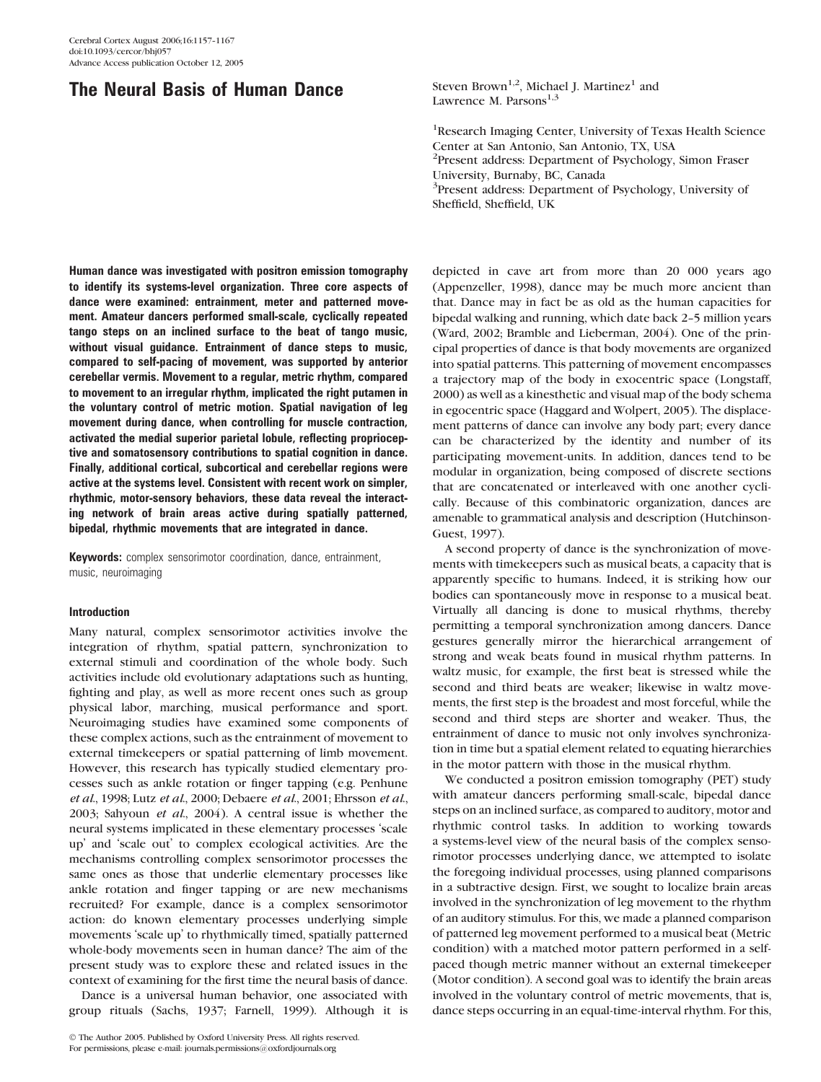# **The Neural Basis of Human Dance** Steven Brown<sup>1,2</sup>, Michael J. Martinez<sup>1</sup> and

Human dance was investigated with positron emission tomography to identify its systems-level organization. Three core aspects of dance were examined: entrainment, meter and patterned movement. Amateur dancers performed small-scale, cyclically repeated tango steps on an inclined surface to the beat of tango music, without visual guidance. Entrainment of dance steps to music, compared to self-pacing of movement, was supported by anterior cerebellar vermis. Movement to a regular, metric rhythm, compared to movement to an irregular rhythm, implicated the right putamen in the voluntary control of metric motion. Spatial navigation of leg movement during dance, when controlling for muscle contraction, activated the medial superior parietal lobule, reflecting proprioceptive and somatosensory contributions to spatial cognition in dance. Finally, additional cortical, subcortical and cerebellar regions were active at the systems level. Consistent with recent work on simpler, rhythmic, motor-sensory behaviors, these data reveal the interacting network of brain areas active during spatially patterned, bipedal, rhythmic movements that are integrated in dance.

**Keywords:** complex sensorimotor coordination, dance, entrainment, music, neuroimaging

# Introduction

Many natural, complex sensorimotor activities involve the integration of rhythm, spatial pattern, synchronization to external stimuli and coordination of the whole body. Such activities include old evolutionary adaptations such as hunting, fighting and play, as well as more recent ones such as group physical labor, marching, musical performance and sport. Neuroimaging studies have examined some components of these complex actions, such as the entrainment of movement to external timekeepers or spatial patterning of limb movement. However, this research has typically studied elementary processes such as ankle rotation or finger tapping (e.g. Penhune et al., 1998; Lutz et al., 2000; Debaere et al., 2001; Ehrsson et al., 2003; Sahyoun et al., 2004). A central issue is whether the neural systems implicated in these elementary processes 'scale up' and 'scale out' to complex ecological activities. Are the mechanisms controlling complex sensorimotor processes the same ones as those that underlie elementary processes like ankle rotation and finger tapping or are new mechanisms recruited? For example, dance is a complex sensorimotor action: do known elementary processes underlying simple movements 'scale up' to rhythmically timed, spatially patterned whole-body movements seen in human dance? The aim of the present study was to explore these and related issues in the context of examining for the first time the neural basis of dance.

Dance is a universal human behavior, one associated with group rituals (Sachs, 1937; Farnell, 1999). Although it is Lawrence M. Parsons $<sup>1</sup>$ ,</sup>

<sup>1</sup>Research Imaging Center, University of Texas Health Science Center at San Antonio, San Antonio, TX, USA 2 Present address: Department of Psychology, Simon Fraser University, Burnaby, BC, Canada 3 Present address: Department of Psychology, University of Sheffield, Sheffield, UK

depicted in cave art from more than 20 000 years ago (Appenzeller, 1998), dance may be much more ancient than that. Dance may in fact be as old as the human capacities for bipedal walking and running, which date back 2-5 million years (Ward, 2002; Bramble and Lieberman, 2004). One of the principal properties of dance is that body movements are organized into spatial patterns. This patterning of movement encompasses a trajectory map of the body in exocentric space (Longstaff, 2000) as well as a kinesthetic and visual map of the body schema in egocentric space (Haggard and Wolpert, 2005). The displacement patterns of dance can involve any body part; every dance can be characterized by the identity and number of its participating movement-units. In addition, dances tend to be modular in organization, being composed of discrete sections that are concatenated or interleaved with one another cyclically. Because of this combinatoric organization, dances are amenable to grammatical analysis and description (Hutchinson-Guest, 1997).

A second property of dance is the synchronization of movements with timekeepers such as musical beats, a capacity that is apparently specific to humans. Indeed, it is striking how our bodies can spontaneously move in response to a musical beat. Virtually all dancing is done to musical rhythms, thereby permitting a temporal synchronization among dancers. Dance gestures generally mirror the hierarchical arrangement of strong and weak beats found in musical rhythm patterns. In waltz music, for example, the first beat is stressed while the second and third beats are weaker; likewise in waltz movements, the first step is the broadest and most forceful, while the second and third steps are shorter and weaker. Thus, the entrainment of dance to music not only involves synchronization in time but a spatial element related to equating hierarchies in the motor pattern with those in the musical rhythm.

We conducted a positron emission tomography (PET) study with amateur dancers performing small-scale, bipedal dance steps on an inclined surface, as compared to auditory, motor and rhythmic control tasks. In addition to working towards a systems-level view of the neural basis of the complex sensorimotor processes underlying dance, we attempted to isolate the foregoing individual processes, using planned comparisons in a subtractive design. First, we sought to localize brain areas involved in the synchronization of leg movement to the rhythm of an auditory stimulus. For this, we made a planned comparison of patterned leg movement performed to a musical beat (Metric condition) with a matched motor pattern performed in a selfpaced though metric manner without an external timekeeper (Motor condition). A second goal was to identify the brain areas involved in the voluntary control of metric movements, that is, dance steps occurring in an equal-time-interval rhythm. For this,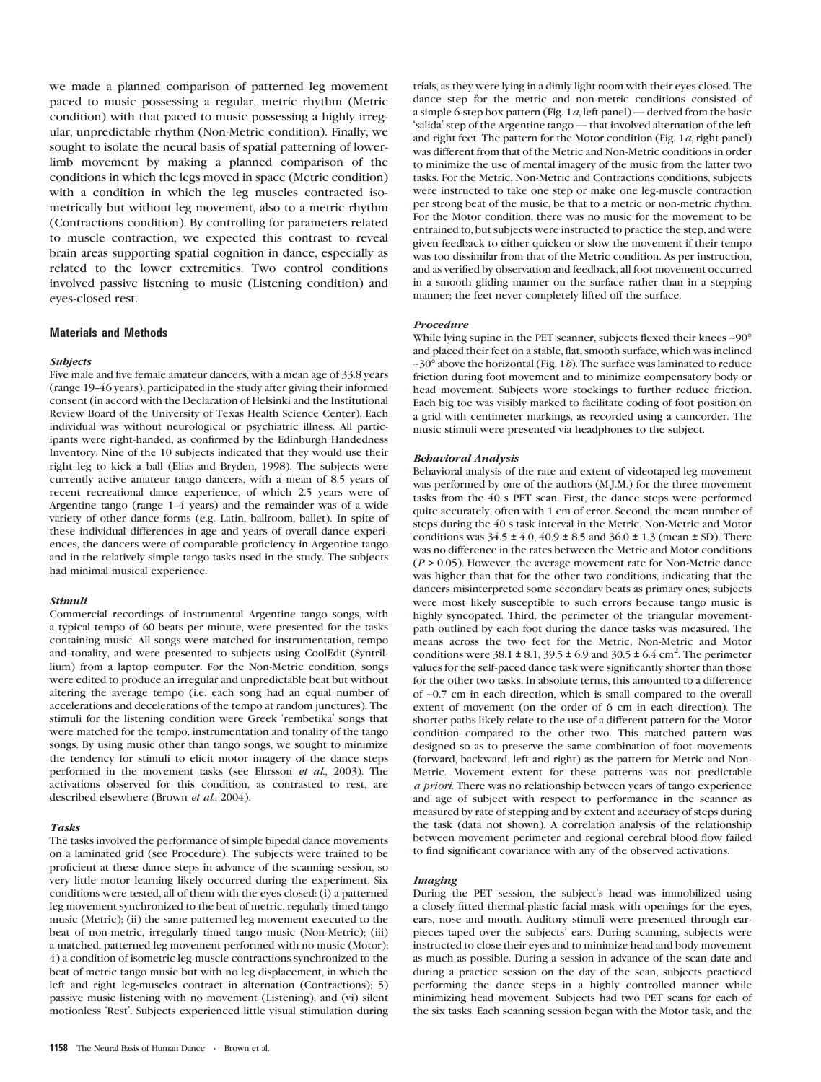we made a planned comparison of patterned leg movement paced to music possessing a regular, metric rhythm (Metric condition) with that paced to music possessing a highly irregular, unpredictable rhythm (Non-Metric condition). Finally, we sought to isolate the neural basis of spatial patterning of lowerlimb movement by making a planned comparison of the conditions in which the legs moved in space (Metric condition) with a condition in which the leg muscles contracted isometrically but without leg movement, also to a metric rhythm (Contractions condition). By controlling for parameters related to muscle contraction, we expected this contrast to reveal brain areas supporting spatial cognition in dance, especially as related to the lower extremities. Two control conditions involved passive listening to music (Listening condition) and eyes-closed rest.

# Materials and Methods

# Subjects

Five male and five female amateur dancers, with a mean age of 33.8 years (range 19-46 years), participated in the study after giving their informed consent (in accord with the Declaration of Helsinki and the Institutional Review Board of the University of Texas Health Science Center). Each individual was without neurological or psychiatric illness. All participants were right-handed, as confirmed by the Edinburgh Handedness Inventory. Nine of the 10 subjects indicated that they would use their right leg to kick a ball (Elias and Bryden, 1998). The subjects were currently active amateur tango dancers, with a mean of 8.5 years of recent recreational dance experience, of which 2.5 years were of Argentine tango (range 1-4 years) and the remainder was of a wide variety of other dance forms (e.g. Latin, ballroom, ballet). In spite of these individual differences in age and years of overall dance experiences, the dancers were of comparable proficiency in Argentine tango and in the relatively simple tango tasks used in the study. The subjects had minimal musical experience.

#### Stimuli

Commercial recordings of instrumental Argentine tango songs, with a typical tempo of 60 beats per minute, were presented for the tasks containing music. All songs were matched for instrumentation, tempo and tonality, and were presented to subjects using CoolEdit (Syntrillium) from a laptop computer. For the Non-Metric condition, songs were edited to produce an irregular and unpredictable beat but without altering the average tempo (i.e. each song had an equal number of accelerations and decelerations of the tempo at random junctures). The stimuli for the listening condition were Greek 'rembetika' songs that were matched for the tempo, instrumentation and tonality of the tango songs. By using music other than tango songs, we sought to minimize the tendency for stimuli to elicit motor imagery of the dance steps performed in the movement tasks (see Ehrsson et al., 2003). The activations observed for this condition, as contrasted to rest, are described elsewhere (Brown et al., 2004).

#### Tasks

The tasks involved the performance of simple bipedal dance movements on a laminated grid (see Procedure). The subjects were trained to be proficient at these dance steps in advance of the scanning session, so very little motor learning likely occurred during the experiment. Six conditions were tested, all of them with the eyes closed: (i) a patterned leg movement synchronized to the beat of metric, regularly timed tango music (Metric); (ii) the same patterned leg movement executed to the beat of non-metric, irregularly timed tango music (Non-Metric); (iii) a matched, patterned leg movement performed with no music (Motor); 4) a condition of isometric leg-muscle contractions synchronized to the beat of metric tango music but with no leg displacement, in which the left and right leg-muscles contract in alternation (Contractions); 5) passive music listening with no movement (Listening); and (vi) silent motionless 'Rest'. Subjects experienced little visual stimulation during trials, as they were lying in a dimly light room with their eyes closed. The dance step for the metric and non-metric conditions consisted of a simple 6-step box pattern (Fig. 1a, left panel) — derived from the basic 'salida' step of the Argentine tango — that involved alternation of the left and right feet. The pattern for the Motor condition (Fig. 1a, right panel) was different from that of the Metric and Non-Metric conditions in order to minimize the use of mental imagery of the music from the latter two tasks. For the Metric, Non-Metric and Contractions conditions, subjects were instructed to take one step or make one leg-muscle contraction per strong beat of the music, be that to a metric or non-metric rhythm. For the Motor condition, there was no music for the movement to be entrained to, but subjects were instructed to practice the step, and were given feedback to either quicken or slow the movement if their tempo was too dissimilar from that of the Metric condition. As per instruction, and as verified by observation and feedback, all foot movement occurred in a smooth gliding manner on the surface rather than in a stepping manner; the feet never completely lifted off the surface.

## Procedure

While lying supine in the PET scanner, subjects flexed their knees ~90° and placed their feet on a stable, flat, smooth surface, which was inclined  $\sim$ 30° above the horizontal (Fig. 1*b*). The surface was laminated to reduce friction during foot movement and to minimize compensatory body or head movement. Subjects wore stockings to further reduce friction. Each big toe was visibly marked to facilitate coding of foot position on a grid with centimeter markings, as recorded using a camcorder. The music stimuli were presented via headphones to the subject.

## Behavioral Analysis

Behavioral analysis of the rate and extent of videotaped leg movement was performed by one of the authors (M.J.M.) for the three movement tasks from the 40 s PET scan. First, the dance steps were performed quite accurately, often with 1 cm of error. Second, the mean number of steps during the 40 s task interval in the Metric, Non-Metric and Motor conditions was  $34.5 \pm 4.0$ ,  $40.9 \pm 8.5$  and  $36.0 \pm 1.3$  (mean  $\pm$  SD). There was no difference in the rates between the Metric and Motor conditions  $(P > 0.05)$ . However, the average movement rate for Non-Metric dance was higher than that for the other two conditions, indicating that the dancers misinterpreted some secondary beats as primary ones; subjects were most likely susceptible to such errors because tango music is highly syncopated. Third, the perimeter of the triangular movementpath outlined by each foot during the dance tasks was measured. The means across the two feet for the Metric, Non-Metric and Motor conditions were  $38.1 \pm 8.1$ ,  $39.5 \pm 6.9$  and  $30.5 \pm 6.4$  cm<sup>2</sup>. The perimeter values for the self-paced dance task were significantly shorter than those for the other two tasks. In absolute terms, this amounted to a difference of  $\sim 0.7$  cm in each direction, which is small compared to the overall extent of movement (on the order of 6 cm in each direction). The shorter paths likely relate to the use of a different pattern for the Motor condition compared to the other two. This matched pattern was designed so as to preserve the same combination of foot movements (forward, backward, left and right) as the pattern for Metric and Non-Metric. Movement extent for these patterns was not predictable a priori. There was no relationship between years of tango experience and age of subject with respect to performance in the scanner as measured by rate of stepping and by extent and accuracy of steps during the task (data not shown). A correlation analysis of the relationship between movement perimeter and regional cerebral blood flow failed to find significant covariance with any of the observed activations.

## Imaging

During the PET session, the subject's head was immobilized using a closely fitted thermal-plastic facial mask with openings for the eyes, ears, nose and mouth. Auditory stimuli were presented through earpieces taped over the subjects' ears. During scanning, subjects were instructed to close their eyes and to minimize head and body movement as much as possible. During a session in advance of the scan date and during a practice session on the day of the scan, subjects practiced performing the dance steps in a highly controlled manner while minimizing head movement. Subjects had two PET scans for each of the six tasks. Each scanning session began with the Motor task, and the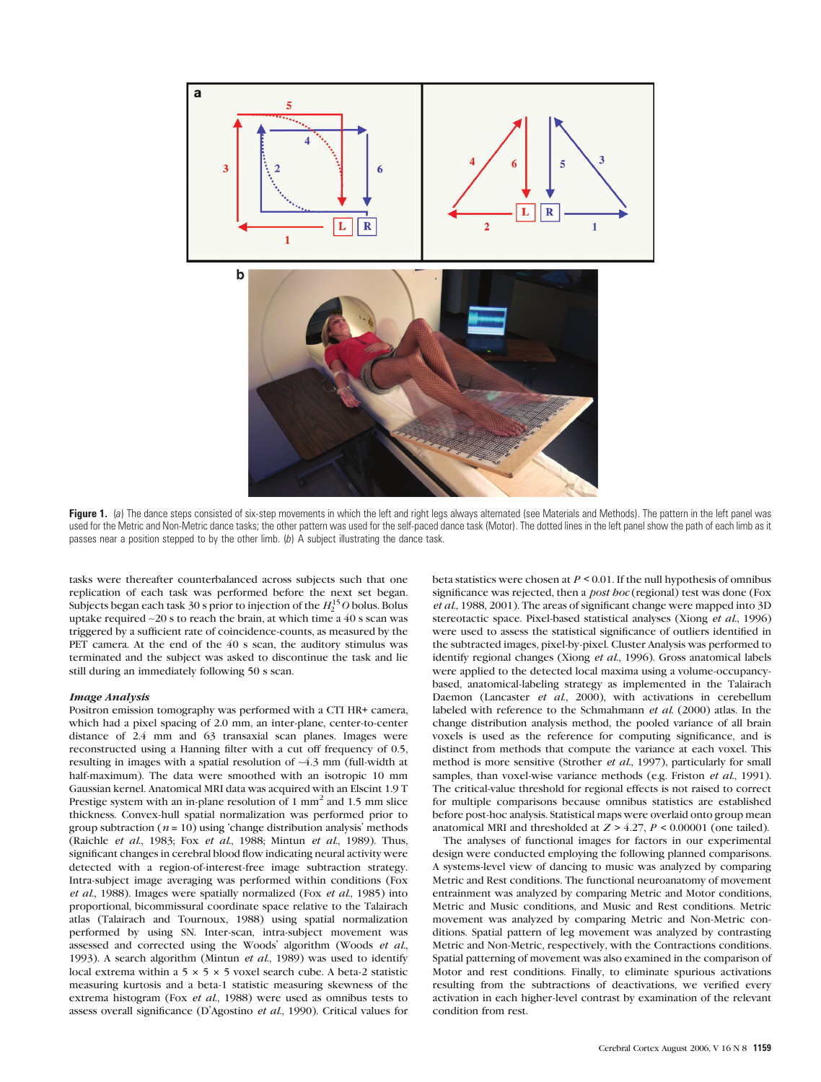

Figure 1. (a) The dance steps consisted of six-step movements in which the left and right legs always alternated (see Materials and Methods). The pattern in the left panel was used for the Metric and Non-Metric dance tasks; the other pattern was used for the self-paced dance task (Motor). The dotted lines in the left panel show the path of each limb as it passes near a position stepped to by the other limb. (b) A subject illustrating the dance task.

tasks were thereafter counterbalanced across subjects such that one replication of each task was performed before the next set began. Subjects began each task 30 s prior to injection of the  $H_2^{15}$  O bolus. Bolus uptake required  $\sim$ 20 s to reach the brain, at which time a 40 s scan was triggered by a sufficient rate of coincidence-counts, as measured by the PET camera. At the end of the 40 s scan, the auditory stimulus was terminated and the subject was asked to discontinue the task and lie still during an immediately following 50 s scan.

## Image Analysis

Positron emission tomography was performed with a CTI HR+ camera, which had a pixel spacing of 2.0 mm, an inter-plane, center-to-center distance of 2.4 mm and 63 transaxial scan planes. Images were reconstructed using a Hanning filter with a cut off frequency of 0.5, resulting in images with a spatial resolution of ~4.3 mm (full-width at half-maximum). The data were smoothed with an isotropic 10 mm Gaussian kernel. Anatomical MRI data was acquired with an Elscint 1.9 T Prestige system with an in-plane resolution of  $1 \text{ mm}^2$  and  $1.5 \text{ mm}$  slice thickness. Convex-hull spatial normalization was performed prior to group subtraction ( $n = 10$ ) using 'change distribution analysis' methods (Raichle et al., 1983; Fox et al., 1988; Mintun et al., 1989). Thus, significant changes in cerebral blood flow indicating neural activity were detected with a region-of-interest-free image subtraction strategy. Intra-subject image averaging was performed within conditions (Fox et al., 1988). Images were spatially normalized (Fox et al., 1985) into proportional, bicommissural coordinate space relative to the Talairach atlas (Talairach and Tournoux, 1988) using spatial normalization performed by using SN. Inter-scan, intra-subject movement was assessed and corrected using the Woods' algorithm (Woods et al., 1993). A search algorithm (Mintun et al., 1989) was used to identify local extrema within a 5  $\times$  5  $\times$  5 voxel search cube. A beta-2 statistic measuring kurtosis and a beta-1 statistic measuring skewness of the extrema histogram (Fox et al., 1988) were used as omnibus tests to assess overall significance (D'Agostino et al., 1990). Critical values for

beta statistics were chosen at  $P \leq 0.01$ . If the null hypothesis of omnibus significance was rejected, then a *post boc* (regional) test was done (Fox et al., 1988, 2001). The areas of significant change were mapped into 3D stereotactic space. Pixel-based statistical analyses (Xiong et al., 1996) were used to assess the statistical significance of outliers identified in the subtracted images, pixel-by-pixel. Cluster Analysis was performed to identify regional changes (Xiong et al., 1996). Gross anatomical labels were applied to the detected local maxima using a volume-occupancybased, anatomical-labeling strategy as implemented in the Talairach Daemon (Lancaster et al., 2000), with activations in cerebellum labeled with reference to the Schmahmann et al. (2000) atlas. In the change distribution analysis method, the pooled variance of all brain voxels is used as the reference for computing significance, and is distinct from methods that compute the variance at each voxel. This method is more sensitive (Strother et al., 1997), particularly for small samples, than voxel-wise variance methods (e.g. Friston et al., 1991). The critical-value threshold for regional effects is not raised to correct for multiple comparisons because omnibus statistics are established before post-hoc analysis. Statistical maps were overlaid onto group mean anatomical MRI and thresholded at  $Z > 4.27$ ,  $P < 0.00001$  (one tailed).

The analyses of functional images for factors in our experimental design were conducted employing the following planned comparisons. A systems-level view of dancing to music was analyzed by comparing Metric and Rest conditions. The functional neuroanatomy of movement entrainment was analyzed by comparing Metric and Motor conditions, Metric and Music conditions, and Music and Rest conditions. Metric movement was analyzed by comparing Metric and Non-Metric conditions. Spatial pattern of leg movement was analyzed by contrasting Metric and Non-Metric, respectively, with the Contractions conditions. Spatial patterning of movement was also examined in the comparison of Motor and rest conditions. Finally, to eliminate spurious activations resulting from the subtractions of deactivations, we verified every activation in each higher-level contrast by examination of the relevant condition from rest.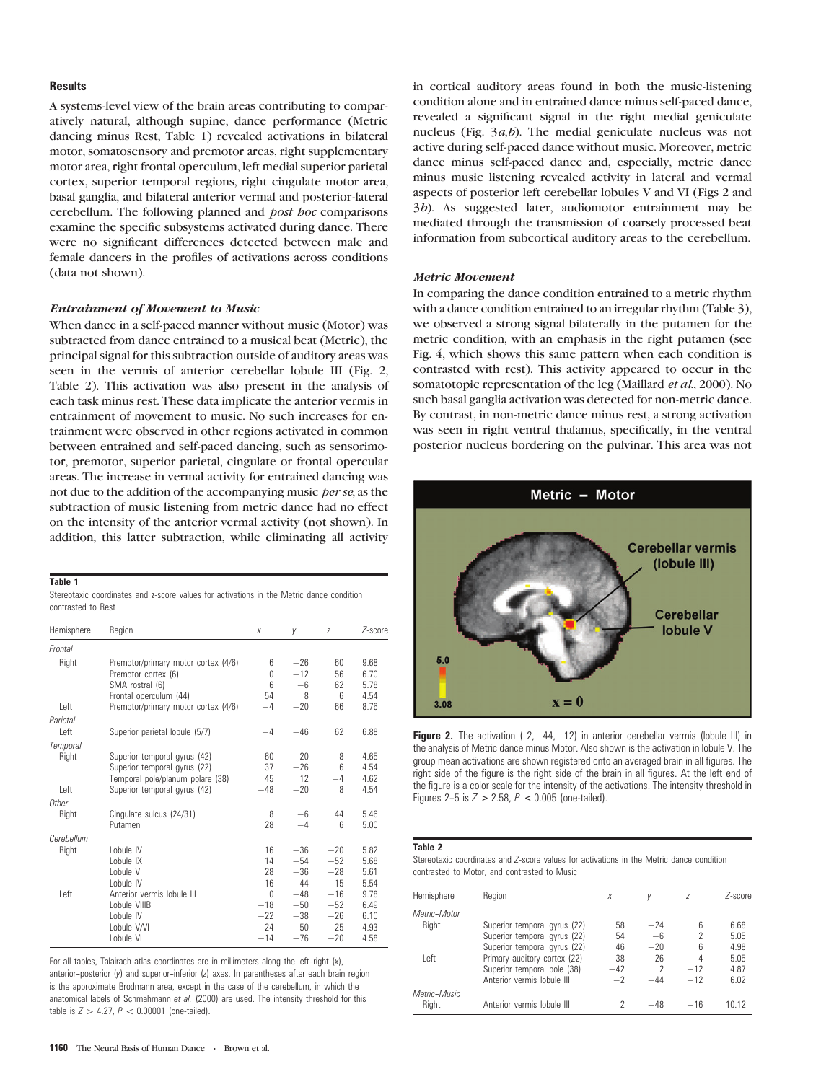## **Results**

A systems-level view of the brain areas contributing to comparatively natural, although supine, dance performance (Metric dancing minus Rest, Table 1) revealed activations in bilateral motor, somatosensory and premotor areas, right supplementary motor area, right frontal operculum, left medial superior parietal cortex, superior temporal regions, right cingulate motor area, basal ganglia, and bilateral anterior vermal and posterior-lateral cerebellum. The following planned and *post hoc* comparisons examine the specific subsystems activated during dance. There were no significant differences detected between male and female dancers in the profiles of activations across conditions (data not shown).

#### Entrainment of Movement to Music

When dance in a self-paced manner without music (Motor) was subtracted from dance entrained to a musical beat (Metric), the principal signal for this subtraction outside of auditory areas was seen in the vermis of anterior cerebellar lobule III (Fig. 2, Table 2). This activation was also present in the analysis of each task minus rest. These data implicate the anterior vermis in entrainment of movement to music. No such increases for entrainment were observed in other regions activated in common between entrained and self-paced dancing, such as sensorimotor, premotor, superior parietal, cingulate or frontal opercular areas. The increase in vermal activity for entrained dancing was not due to the addition of the accompanying music per se, as the subtraction of music listening from metric dance had no effect on the intensity of the anterior vermal activity (not shown). In addition, this latter subtraction, while eliminating all activity

## Table 1

Stereotaxic coordinates and z-score values for activations in the Metric dance condition contrasted to Rest

| Hemisphere     | Region                                                                                                  | X                                   | V                                | Z                                | Z-score                      |
|----------------|---------------------------------------------------------------------------------------------------------|-------------------------------------|----------------------------------|----------------------------------|------------------------------|
| Frontal        |                                                                                                         |                                     |                                  |                                  |                              |
| Right          | Premotor/primary motor cortex (4/6)<br>Premotor cortex (6)<br>SMA rostral (6)<br>Frontal operculum (44) | 6<br>$\Omega$<br>6<br>54            | $-26$<br>$-12$<br>$-6$<br>8      | 60<br>56<br>62<br>6              | 9.68<br>6.70<br>5.78<br>4.54 |
| Left           | Premotor/primary motor cortex (4/6)                                                                     | $-4$                                | $-20$                            | 66                               | 8.76                         |
| Parietal       |                                                                                                         |                                     |                                  |                                  |                              |
| Left           | Superior parietal lobule (5/7)                                                                          | $-4$                                | $-46$                            | 62                               | 6.88                         |
| Temporal       |                                                                                                         |                                     |                                  |                                  |                              |
| Right          | Superior temporal gyrus (42)<br>Superior temporal gyrus (22)<br>Temporal pole/planum polare (38)        | 60<br>37<br>45                      | $-20$<br>$-26$<br>12             | 8<br>6<br>$-4$                   | 4.65<br>4.54<br>4.62         |
| Left           | Superior temporal gyrus (42)                                                                            | $-48$                               | $-20$                            | 8                                | 4.54                         |
| Other<br>Right | Cingulate sulcus (24/31)<br>Putamen                                                                     | 8<br>28                             | $-6$<br>$-4$                     | 44<br>6                          | 5.46<br>5.00                 |
| Cerebellum     |                                                                                                         |                                     |                                  |                                  |                              |
| Right          | Lobule IV<br>Lobule IX<br>Lobule V<br>Lobule IV                                                         | 16<br>14<br>28<br>16                | $-36$<br>$-54$<br>$-36$<br>$-44$ | $-20$<br>$-52$<br>$-28$<br>$-15$ | 5.82<br>5.68<br>5.61<br>5.54 |
| Left           | Anterior vermis lobule III<br>Lobule VIIIB<br>Lobule IV<br>Lobule V/VI                                  | $\Omega$<br>$-18$<br>$-22$<br>$-24$ | $-48$<br>$-50$<br>$-38$<br>$-50$ | $-16$<br>$-52$<br>$-26$<br>$-25$ | 9.78<br>6.49<br>6.10<br>4.93 |
|                | Lobule VI                                                                                               | $-14$                               | $-76$                            | $-20$                            | 4.58                         |

For all tables, Talairach atlas coordinates are in millimeters along the left-right  $(x)$ , anterior-posterior  $(y)$  and superior-inferior  $(z)$  axes. In parentheses after each brain region is the approximate Brodmann area, except in the case of the cerebellum, in which the anatomical labels of Schmahmann et al. (2000) are used. The intensity threshold for this table is  $Z > 4.27$ ,  $P < 0.00001$  (one-tailed).

in cortical auditory areas found in both the music-listening condition alone and in entrained dance minus self-paced dance, revealed a significant signal in the right medial geniculate nucleus (Fig. 3a,b). The medial geniculate nucleus was not active during self-paced dance without music. Moreover, metric dance minus self-paced dance and, especially, metric dance minus music listening revealed activity in lateral and vermal aspects of posterior left cerebellar lobules V and VI (Figs 2 and 3b). As suggested later, audiomotor entrainment may be mediated through the transmission of coarsely processed beat information from subcortical auditory areas to the cerebellum.

## Metric Movement

In comparing the dance condition entrained to a metric rhythm with a dance condition entrained to an irregular rhythm (Table 3), we observed a strong signal bilaterally in the putamen for the metric condition, with an emphasis in the right putamen (see Fig. 4, which shows this same pattern when each condition is contrasted with rest). This activity appeared to occur in the somatotopic representation of the leg (Maillard *et al.*, 2000). No such basal ganglia activation was detected for non-metric dance. By contrast, in non-metric dance minus rest, a strong activation was seen in right ventral thalamus, specifically, in the ventral posterior nucleus bordering on the pulvinar. This area was not



**Figure 2.** The activation  $(-2, -44, -12)$  in anterior cerebellar vermis (lobule III) in the analysis of Metric dance minus Motor. Also shown is the activation in lobule V. The group mean activations are shown registered onto an averaged brain in all figures. The right side of the figure is the right side of the brain in all figures. At the left end of the figure is a color scale for the intensity of the activations. The intensity threshold in Figures 2-5 is  $Z > 2.58$ ,  $P < 0.005$  (one-tailed).

### Table 2

Stereotaxic coordinates and Z-score values for activations in the Metric dance condition contrasted to Motor, and contrasted to Music

| Hemisphere   | Region                       | Х     | V     | 7     | Z-score |
|--------------|------------------------------|-------|-------|-------|---------|
| Metric–Motor |                              |       |       |       |         |
| Right        | Superior temporal gyrus (22) | 58    | $-24$ | 6     | 6.68    |
|              | Superior temporal gyrus (22) | 54    | $-6$  | 2     | 5.05    |
|              | Superior temporal gyrus (22) | 46    | $-20$ | 6     | 4.98    |
| Left         | Primary auditory cortex (22) | $-38$ | $-26$ | 4     | 5.05    |
|              | Superior temporal pole (38)  | $-42$ | 2     | $-12$ | 4.87    |
|              | Anterior vermis lobule III   | $-2$  | $-44$ | $-12$ | 6.02    |
| Metric-Music |                              |       |       |       |         |
| Right        | Anterior vermis lobule III   | 2     | $-48$ | $-16$ | 10.12   |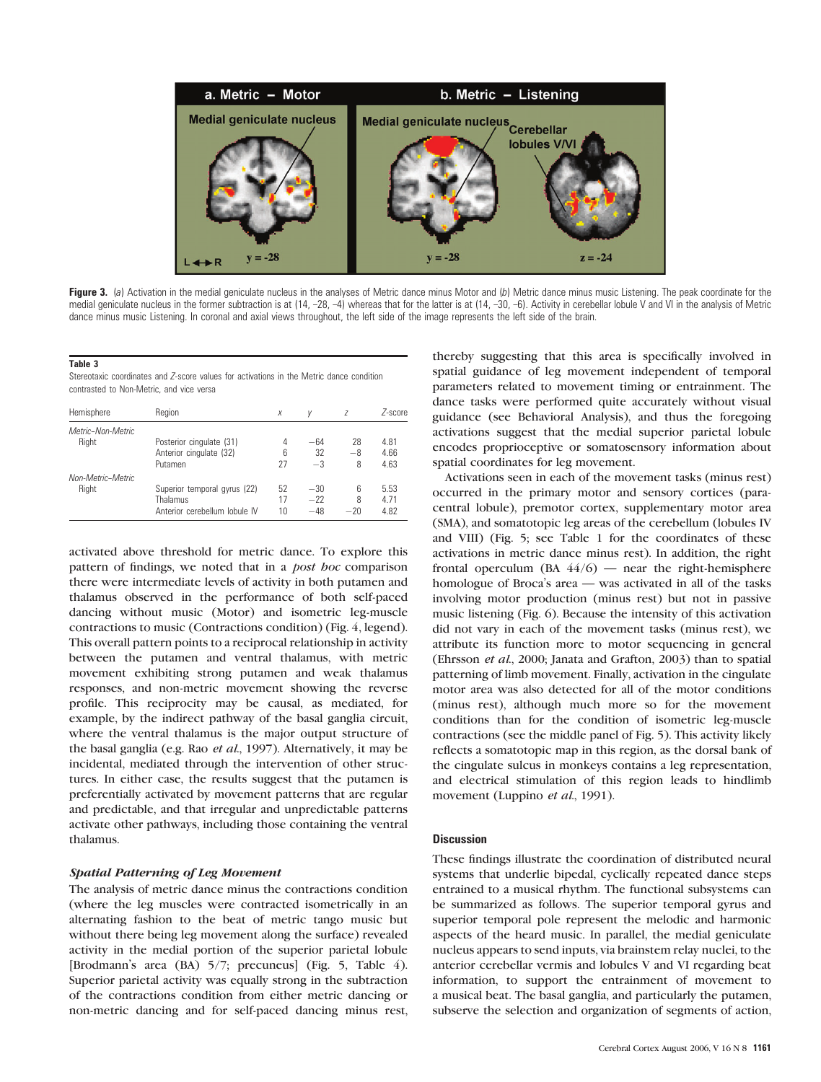

Figure 3. (a) Activation in the medial geniculate nucleus in the analyses of Metric dance minus Motor and (b) Metric dance minus music Listening. The peak coordinate for the medial geniculate nucleus in the former subtraction is at (14, -28, -4) whereas that for the latter is at (14, -30, -6). Activity in cerebellar lobule V and VI in the analysis of Metric dance minus music Listening. In coronal and axial views throughout, the left side of the image represents the left side of the brain.

#### Table 3

Stereotaxic coordinates and Z-score values for activations in the Metric dance condition contrasted to Non-Metric, and vice versa

| Hemisphere        | Region                        | X  | V     | 7     | Z-score |
|-------------------|-------------------------------|----|-------|-------|---------|
| Metric-Non-Metric |                               |    |       |       |         |
| Right             | Posterior cingulate (31)      | 4  | $-64$ | 28    | 4.81    |
|                   | Anterior cingulate (32)       | 6  | 32    | $-8$  | 4.66    |
|                   | Putamen                       | 27 | $-3$  | 8     | 4.63    |
| Non-Metric-Metric |                               |    |       |       |         |
| Right             | Superior temporal gyrus (22)  | 52 | $-30$ | 6     | 5.53    |
|                   | Thalamus                      | 17 | $-22$ | 8     | 4.71    |
|                   | Anterior cerebellum lobule IV | 10 | $-48$ | $-20$ | 4.82    |

activated above threshold for metric dance. To explore this pattern of findings, we noted that in a *post hoc* comparison there were intermediate levels of activity in both putamen and thalamus observed in the performance of both self-paced dancing without music (Motor) and isometric leg-muscle contractions to music (Contractions condition) (Fig. 4, legend). This overall pattern points to a reciprocal relationship in activity between the putamen and ventral thalamus, with metric movement exhibiting strong putamen and weak thalamus responses, and non-metric movement showing the reverse profile. This reciprocity may be causal, as mediated, for example, by the indirect pathway of the basal ganglia circuit, where the ventral thalamus is the major output structure of the basal ganglia (e.g. Rao et al., 1997). Alternatively, it may be incidental, mediated through the intervention of other structures. In either case, the results suggest that the putamen is preferentially activated by movement patterns that are regular and predictable, and that irregular and unpredictable patterns activate other pathways, including those containing the ventral thalamus.

# Spatial Patterning of Leg Movement

The analysis of metric dance minus the contractions condition (where the leg muscles were contracted isometrically in an alternating fashion to the beat of metric tango music but without there being leg movement along the surface) revealed activity in the medial portion of the superior parietal lobule [Brodmann's area (BA) 5/7; precuneus] (Fig. 5, Table 4). Superior parietal activity was equally strong in the subtraction of the contractions condition from either metric dancing or non-metric dancing and for self-paced dancing minus rest,

thereby suggesting that this area is specifically involved in spatial guidance of leg movement independent of temporal parameters related to movement timing or entrainment. The dance tasks were performed quite accurately without visual guidance (see Behavioral Analysis), and thus the foregoing activations suggest that the medial superior parietal lobule encodes proprioceptive or somatosensory information about spatial coordinates for leg movement.

Activations seen in each of the movement tasks (minus rest) occurred in the primary motor and sensory cortices (paracentral lobule), premotor cortex, supplementary motor area (SMA), and somatotopic leg areas of the cerebellum (lobules IV and VIII) (Fig. 5; see Table 1 for the coordinates of these activations in metric dance minus rest). In addition, the right frontal operculum (BA  $44/6$ ) — near the right-hemisphere homologue of Broca's area — was activated in all of the tasks involving motor production (minus rest) but not in passive music listening (Fig. 6). Because the intensity of this activation did not vary in each of the movement tasks (minus rest), we attribute its function more to motor sequencing in general (Ehrsson et al., 2000; Janata and Grafton, 2003) than to spatial patterning of limb movement. Finally, activation in the cingulate motor area was also detected for all of the motor conditions (minus rest), although much more so for the movement conditions than for the condition of isometric leg-muscle contractions (see the middle panel of Fig. 5). This activity likely reflects a somatotopic map in this region, as the dorsal bank of the cingulate sulcus in monkeys contains a leg representation, and electrical stimulation of this region leads to hindlimb movement (Luppino et al., 1991).

# **Discussion**

These findings illustrate the coordination of distributed neural systems that underlie bipedal, cyclically repeated dance steps entrained to a musical rhythm. The functional subsystems can be summarized as follows. The superior temporal gyrus and superior temporal pole represent the melodic and harmonic aspects of the heard music. In parallel, the medial geniculate nucleus appears to send inputs, via brainstem relay nuclei, to the anterior cerebellar vermis and lobules V and VI regarding beat information, to support the entrainment of movement to a musical beat. The basal ganglia, and particularly the putamen, subserve the selection and organization of segments of action,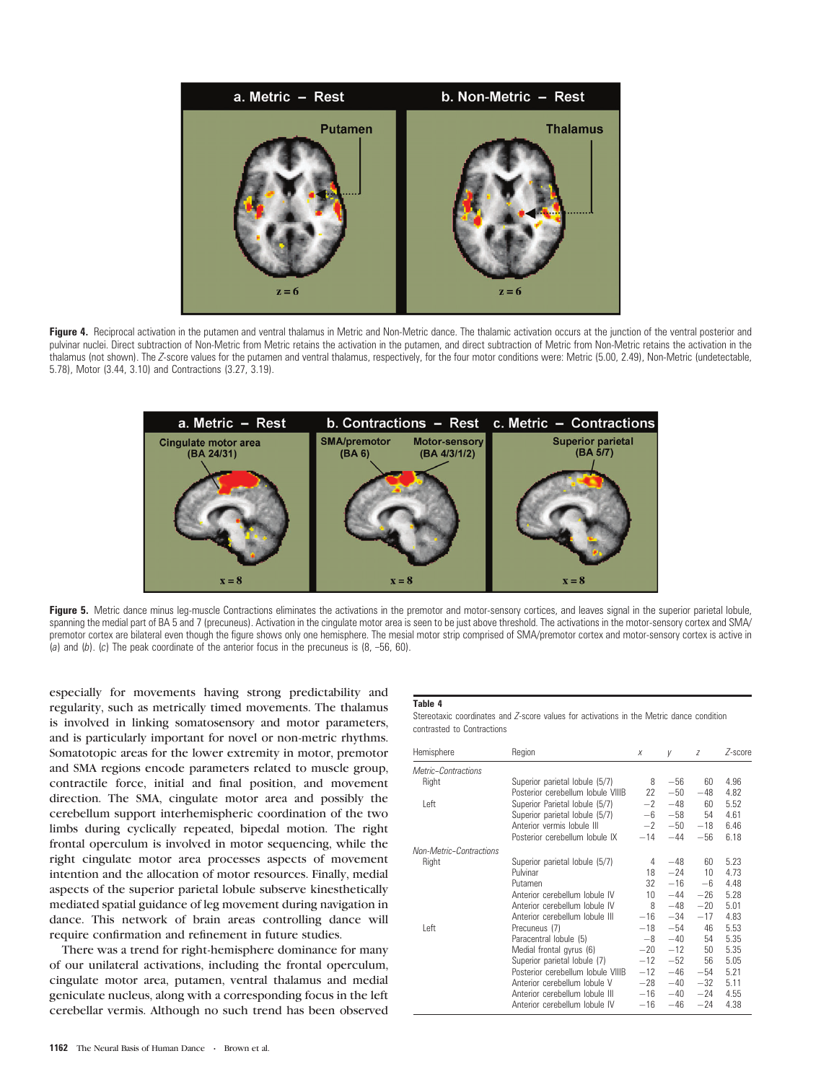

Figure 4. Reciprocal activation in the putamen and ventral thalamus in Metric and Non-Metric dance. The thalamic activation occurs at the junction of the ventral posterior and pulvinar nuclei. Direct subtraction of Non-Metric from Metric retains the activation in the putamen, and direct subtraction of Metric from Non-Metric retains the activation in the thalamus (not shown). The Z-score values for the putamen and ventral thalamus, respectively, for the four motor conditions were: Metric (5.00, 2.49), Non-Metric (undetectable, 5.78), Motor (3.44, 3.10) and Contractions (3.27, 3.19).



Figure 5. Metric dance minus leg-muscle Contractions eliminates the activations in the premotor and motor-sensory cortices, and leaves signal in the superior parietal lobule, spanning the medial part of BA 5 and 7 (precuneus). Activation in the cingulate motor area is seen to be just above threshold. The activations in the motor-sensory cortex and SMA/ premotor cortex are bilateral even though the figure shows only one hemisphere. The mesial motor strip comprised of SMA/premotor cortex and motor-sensory cortex is active in (a) and (b). (c) The peak coordinate of the anterior focus in the precuneus is  $(8, -56, 60)$ .

especially for movements having strong predictability and regularity, such as metrically timed movements. The thalamus is involved in linking somatosensory and motor parameters, and is particularly important for novel or non-metric rhythms. Somatotopic areas for the lower extremity in motor, premotor and SMA regions encode parameters related to muscle group, contractile force, initial and final position, and movement direction. The SMA, cingulate motor area and possibly the cerebellum support interhemispheric coordination of the two limbs during cyclically repeated, bipedal motion. The right frontal operculum is involved in motor sequencing, while the right cingulate motor area processes aspects of movement intention and the allocation of motor resources. Finally, medial aspects of the superior parietal lobule subserve kinesthetically mediated spatial guidance of leg movement during navigation in dance. This network of brain areas controlling dance will require confirmation and refinement in future studies.

There was a trend for right-hemisphere dominance for many of our unilateral activations, including the frontal operculum, cingulate motor area, putamen, ventral thalamus and medial geniculate nucleus, along with a corresponding focus in the left cerebellar vermis. Although no such trend has been observed

#### Table 4

Stereotaxic coordinates and Z-score values for activations in the Metric dance condition contrasted to Contractions

| Hemisphere              | Region                            | X     | y     | Ζ     | Z-score |
|-------------------------|-----------------------------------|-------|-------|-------|---------|
| Metric-Contractions     |                                   |       |       |       |         |
| Right                   | Superior parietal lobule (5/7)    | 8     | $-56$ | 60    | 4.96    |
|                         | Posterior cerebellum lobule VIIIB | 22    | $-50$ | $-48$ | 4.82    |
| Left                    | Superior Parietal lobule (5/7)    | $-2$  | $-48$ | 60    | 5.52    |
|                         | Superior parietal lobule (5/7)    | $-6$  | $-58$ | 54    | 4.61    |
|                         | Anterior vermis lobule III        | $-2$  | $-50$ | $-18$ | 6.46    |
|                         | Posterior cerebellum lobule IX    | $-14$ | $-44$ | $-56$ | 6.18    |
| Non-Metric-Contractions |                                   |       |       |       |         |
| Right                   | Superior parietal lobule (5/7)    | 4     | $-48$ | 60    | 5.23    |
|                         | Pulvinar                          | 18    | $-24$ | 10    | 4.73    |
|                         | Putamen                           | 32    | $-16$ | $-6$  | 4.48    |
|                         | Anterior cerebellum lobule IV     | 10    | $-44$ | $-26$ | 5.28    |
|                         | Anterior cerebellum lobule IV     | 8     | $-48$ | $-20$ | 5.01    |
|                         | Anterior cerebellum lobule III    | $-16$ | $-34$ | $-17$ | 4.83    |
| Left                    | Precuneus (7)                     | $-18$ | $-54$ | 46    | 5.53    |
|                         | Paracentral lobule (5)            | $-8$  | $-40$ | 54    | 5.35    |
|                         | Medial frontal gyrus (6)          | $-20$ | $-12$ | 50    | 5.35    |
|                         | Superior parietal lobule (7)      | $-12$ | $-52$ | 56    | 5.05    |
|                         | Posterior cerebellum lobule VIIIB | $-12$ | $-46$ | $-54$ | 5.21    |
|                         | Anterior cerebellum lobule V      | $-28$ | $-40$ | $-32$ | 5.11    |
|                         | Anterior cerebellum lobule III    | $-16$ | $-40$ | $-24$ | 4.55    |
|                         | Anterior cerebellum lobule IV     | $-16$ | $-46$ | $-24$ | 4.38    |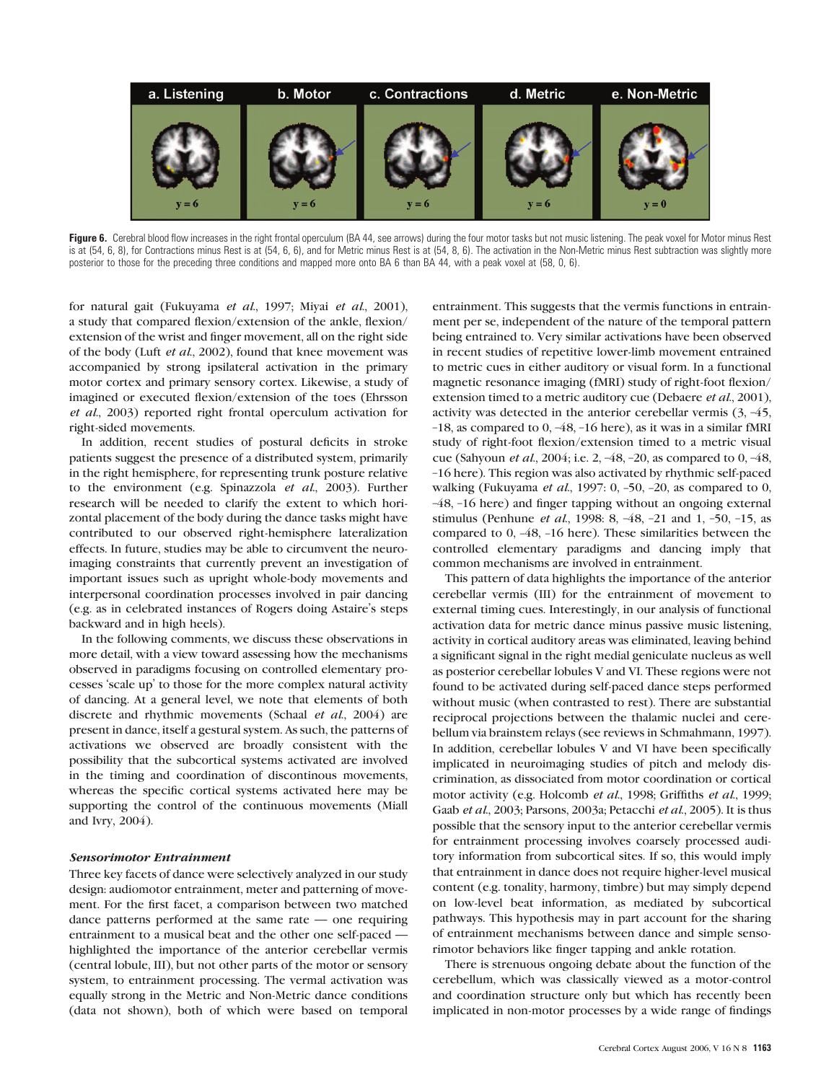

Figure 6. Cerebral blood flow increases in the right frontal operculum (BA 44, see arrows) during the four motor tasks but not music listening. The peak voxel for Motor minus Rest is at (54, 6, 8), for Contractions minus Rest is at (54, 6, 6), and for Metric minus Rest is at (54, 8, 6). The activation in the Non-Metric minus Rest subtraction was slightly more posterior to those for the preceding three conditions and mapped more onto BA 6 than BA 44, with a peak voxel at (58, 0, 6).

for natural gait (Fukuyama et al., 1997; Miyai et al., 2001), a study that compared flexion/extension of the ankle, flexion/ extension of the wrist and finger movement, all on the right side of the body (Luft et al., 2002), found that knee movement was accompanied by strong ipsilateral activation in the primary motor cortex and primary sensory cortex. Likewise, a study of imagined or executed flexion/extension of the toes (Ehrsson et al., 2003) reported right frontal operculum activation for right-sided movements.

In addition, recent studies of postural deficits in stroke patients suggest the presence of a distributed system, primarily in the right hemisphere, for representing trunk posture relative to the environment (e.g. Spinazzola et al., 2003). Further research will be needed to clarify the extent to which horizontal placement of the body during the dance tasks might have contributed to our observed right-hemisphere lateralization effects. In future, studies may be able to circumvent the neuroimaging constraints that currently prevent an investigation of important issues such as upright whole-body movements and interpersonal coordination processes involved in pair dancing (e.g. as in celebrated instances of Rogers doing Astaire's steps backward and in high heels).

In the following comments, we discuss these observations in more detail, with a view toward assessing how the mechanisms observed in paradigms focusing on controlled elementary processes 'scale up' to those for the more complex natural activity of dancing. At a general level, we note that elements of both discrete and rhythmic movements (Schaal et al., 2004) are present in dance, itself a gestural system. As such, the patterns of activations we observed are broadly consistent with the possibility that the subcortical systems activated are involved in the timing and coordination of discontinous movements, whereas the specific cortical systems activated here may be supporting the control of the continuous movements (Miall and Ivry, 2004).

#### Sensorimotor Entrainment

Three key facets of dance were selectively analyzed in our study design: audiomotor entrainment, meter and patterning of movement. For the first facet, a comparison between two matched dance patterns performed at the same rate  $-$  one requiring entrainment to a musical beat and the other one self-paced highlighted the importance of the anterior cerebellar vermis (central lobule, III), but not other parts of the motor or sensory system, to entrainment processing. The vermal activation was equally strong in the Metric and Non-Metric dance conditions (data not shown), both of which were based on temporal

entrainment. This suggests that the vermis functions in entrainment per se, independent of the nature of the temporal pattern being entrained to. Very similar activations have been observed in recent studies of repetitive lower-limb movement entrained to metric cues in either auditory or visual form. In a functional magnetic resonance imaging (fMRI) study of right-foot flexion/ extension timed to a metric auditory cue (Debaere et al., 2001), activity was detected in the anterior cerebellar vermis (3, –45, –18, as compared to 0, –48, –16 here), as it was in a similar fMRI study of right-foot flexion/extension timed to a metric visual cue (Sahyoun et al., 2004; i.e. 2, –48, –20, as compared to 0, –48, –16 here). This region was also activated by rhythmic self-paced walking (Fukuyama et al., 1997: 0, -50, -20, as compared to 0, –48, –16 here) and finger tapping without an ongoing external stimulus (Penhune et al., 1998: 8, -48, -21 and 1, -50, -15, as compared to 0, –48, –16 here). These similarities between the controlled elementary paradigms and dancing imply that common mechanisms are involved in entrainment.

This pattern of data highlights the importance of the anterior cerebellar vermis (III) for the entrainment of movement to external timing cues. Interestingly, in our analysis of functional activation data for metric dance minus passive music listening, activity in cortical auditory areas was eliminated, leaving behind a significant signal in the right medial geniculate nucleus as well as posterior cerebellar lobules V and VI. These regions were not found to be activated during self-paced dance steps performed without music (when contrasted to rest). There are substantial reciprocal projections between the thalamic nuclei and cerebellum via brainstem relays (see reviews in Schmahmann, 1997). In addition, cerebellar lobules V and VI have been specifically implicated in neuroimaging studies of pitch and melody discrimination, as dissociated from motor coordination or cortical motor activity (e.g. Holcomb et al., 1998; Griffiths et al., 1999; Gaab et al., 2003; Parsons, 2003a; Petacchi et al., 2005). It is thus possible that the sensory input to the anterior cerebellar vermis for entrainment processing involves coarsely processed auditory information from subcortical sites. If so, this would imply that entrainment in dance does not require higher-level musical content (e.g. tonality, harmony, timbre) but may simply depend on low-level beat information, as mediated by subcortical pathways. This hypothesis may in part account for the sharing of entrainment mechanisms between dance and simple sensorimotor behaviors like finger tapping and ankle rotation.

There is strenuous ongoing debate about the function of the cerebellum, which was classically viewed as a motor-control and coordination structure only but which has recently been implicated in non-motor processes by a wide range of findings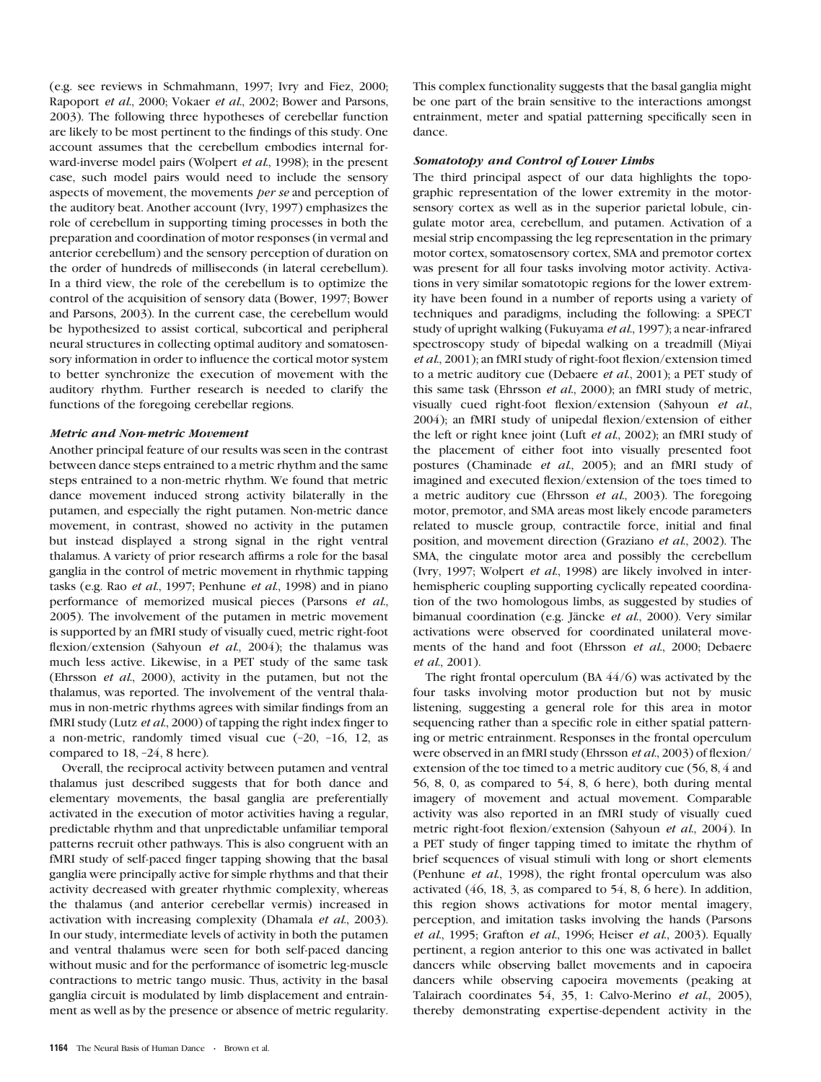(e.g. see reviews in Schmahmann, 1997; Ivry and Fiez, 2000; Rapoport et al., 2000; Vokaer et al., 2002; Bower and Parsons, 2003). The following three hypotheses of cerebellar function are likely to be most pertinent to the findings of this study. One account assumes that the cerebellum embodies internal forward-inverse model pairs (Wolpert et al., 1998); in the present case, such model pairs would need to include the sensory aspects of movement, the movements per se and perception of the auditory beat. Another account (Ivry, 1997) emphasizes the role of cerebellum in supporting timing processes in both the preparation and coordination of motor responses (in vermal and anterior cerebellum) and the sensory perception of duration on the order of hundreds of milliseconds (in lateral cerebellum). In a third view, the role of the cerebellum is to optimize the control of the acquisition of sensory data (Bower, 1997; Bower and Parsons, 2003). In the current case, the cerebellum would be hypothesized to assist cortical, subcortical and peripheral neural structures in collecting optimal auditory and somatosensory information in order to influence the cortical motor system to better synchronize the execution of movement with the auditory rhythm. Further research is needed to clarify the functions of the foregoing cerebellar regions.

# Metric and Non-metric Movement

Another principal feature of our results was seen in the contrast between dance steps entrained to a metric rhythm and the same steps entrained to a non-metric rhythm. We found that metric dance movement induced strong activity bilaterally in the putamen, and especially the right putamen. Non-metric dance movement, in contrast, showed no activity in the putamen but instead displayed a strong signal in the right ventral thalamus. A variety of prior research affirms a role for the basal ganglia in the control of metric movement in rhythmic tapping tasks (e.g. Rao et al., 1997; Penhune et al., 1998) and in piano performance of memorized musical pieces (Parsons et al., 2005). The involvement of the putamen in metric movement is supported by an fMRI study of visually cued, metric right-foot flexion/extension (Sahyoun et al., 2004); the thalamus was much less active. Likewise, in a PET study of the same task (Ehrsson et al., 2000), activity in the putamen, but not the thalamus, was reported. The involvement of the ventral thalamus in non-metric rhythms agrees with similar findings from an fMRI study (Lutz et al., 2000) of tapping the right index finger to a non-metric, randomly timed visual cue (–20, –16, 12, as compared to 18, –24, 8 here).

Overall, the reciprocal activity between putamen and ventral thalamus just described suggests that for both dance and elementary movements, the basal ganglia are preferentially activated in the execution of motor activities having a regular, predictable rhythm and that unpredictable unfamiliar temporal patterns recruit other pathways. This is also congruent with an fMRI study of self-paced finger tapping showing that the basal ganglia were principally active for simple rhythms and that their activity decreased with greater rhythmic complexity, whereas the thalamus (and anterior cerebellar vermis) increased in activation with increasing complexity (Dhamala et al., 2003). In our study, intermediate levels of activity in both the putamen and ventral thalamus were seen for both self-paced dancing without music and for the performance of isometric leg-muscle contractions to metric tango music. Thus, activity in the basal ganglia circuit is modulated by limb displacement and entrainment as well as by the presence or absence of metric regularity.

# Somatotopy and Control of Lower Limbs

The third principal aspect of our data highlights the topographic representation of the lower extremity in the motorsensory cortex as well as in the superior parietal lobule, cingulate motor area, cerebellum, and putamen. Activation of a mesial strip encompassing the leg representation in the primary motor cortex, somatosensory cortex, SMA and premotor cortex was present for all four tasks involving motor activity. Activations in very similar somatotopic regions for the lower extremity have been found in a number of reports using a variety of techniques and paradigms, including the following: a SPECT study of upright walking (Fukuyama et al., 1997); a near-infrared spectroscopy study of bipedal walking on a treadmill (Miyai et al., 2001); an fMRI study of right-foot flexion/extension timed to a metric auditory cue (Debaere et al., 2001); a PET study of this same task (Ehrsson et al., 2000); an fMRI study of metric, visually cued right-foot flexion/extension (Sahyoun et al., 2004); an fMRI study of unipedal flexion/extension of either the left or right knee joint (Luft et al., 2002); an fMRI study of the placement of either foot into visually presented foot postures (Chaminade et al., 2005); and an fMRI study of imagined and executed flexion/extension of the toes timed to a metric auditory cue (Ehrsson et al., 2003). The foregoing motor, premotor, and SMA areas most likely encode parameters related to muscle group, contractile force, initial and final position, and movement direction (Graziano et al., 2002). The SMA, the cingulate motor area and possibly the cerebellum (Ivry, 1997; Wolpert et al., 1998) are likely involved in interhemispheric coupling supporting cyclically repeated coordination of the two homologous limbs, as suggested by studies of bimanual coordination (e.g. Jäncke et al., 2000). Very similar activations were observed for coordinated unilateral movements of the hand and foot (Ehrsson et al., 2000; Debaere et al., 2001).

The right frontal operculum (BA 44/6) was activated by the four tasks involving motor production but not by music listening, suggesting a general role for this area in motor sequencing rather than a specific role in either spatial patterning or metric entrainment. Responses in the frontal operculum were observed in an fMRI study (Ehrsson et al., 2003) of flexion/ extension of the toe timed to a metric auditory cue (56, 8, 4 and 56, 8, 0, as compared to 54, 8, 6 here), both during mental imagery of movement and actual movement. Comparable activity was also reported in an fMRI study of visually cued metric right-foot flexion/extension (Sahyoun et al., 2004). In a PET study of finger tapping timed to imitate the rhythm of brief sequences of visual stimuli with long or short elements (Penhune et al., 1998), the right frontal operculum was also activated (46, 18, 3, as compared to 54, 8, 6 here). In addition, this region shows activations for motor mental imagery, perception, and imitation tasks involving the hands (Parsons et al., 1995; Grafton et al., 1996; Heiser et al., 2003). Equally pertinent, a region anterior to this one was activated in ballet dancers while observing ballet movements and in capoeira dancers while observing capoeira movements (peaking at Talairach coordinates 54, 35, 1: Calvo-Merino et al., 2005), thereby demonstrating expertise-dependent activity in the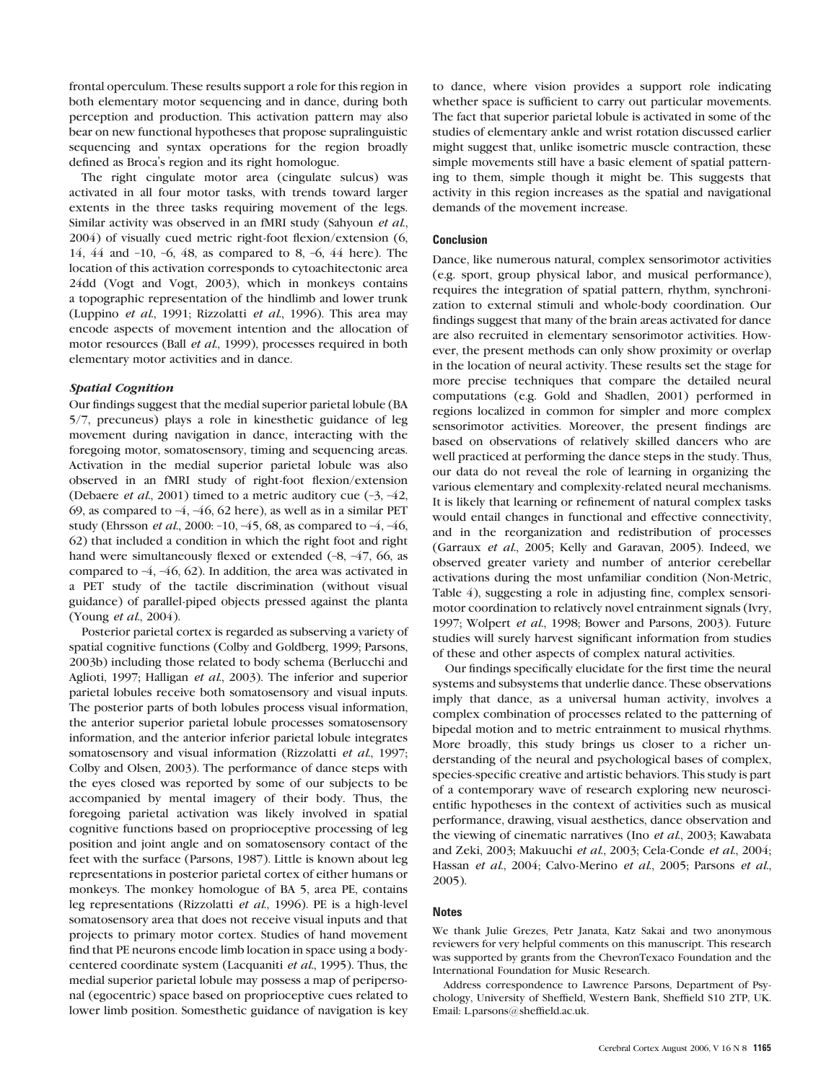frontal operculum. These results support a role for this region in both elementary motor sequencing and in dance, during both perception and production. This activation pattern may also bear on new functional hypotheses that propose supralinguistic sequencing and syntax operations for the region broadly defined as Broca's region and its right homologue.

The right cingulate motor area (cingulate sulcus) was activated in all four motor tasks, with trends toward larger extents in the three tasks requiring movement of the legs. Similar activity was observed in an fMRI study (Sahyoun et al., 2004) of visually cued metric right-foot flexion/extension (6, 14, 44 and –10, –6, 48, as compared to 8, –6, 44 here). The location of this activation corresponds to cytoachitectonic area 24dd (Vogt and Vogt, 2003), which in monkeys contains a topographic representation of the hindlimb and lower trunk (Luppino *et al.*, 1991; Rizzolatti *et al.*, 1996). This area may encode aspects of movement intention and the allocation of motor resources (Ball et al., 1999), processes required in both elementary motor activities and in dance.

# Spatial Cognition

Our findings suggest that the medial superior parietal lobule (BA 5/7, precuneus) plays a role in kinesthetic guidance of leg movement during navigation in dance, interacting with the foregoing motor, somatosensory, timing and sequencing areas. Activation in the medial superior parietal lobule was also observed in an fMRI study of right-foot flexion/extension (Debaere *et al.*, 2001) timed to a metric auditory cue  $(-3, -42,$ 69, as compared to  $-4$ ,  $-46$ , 62 here), as well as in a similar PET study (Ehrsson et al., 2000: –10, –45, 68, as compared to –4, –46, 62) that included a condition in which the right foot and right hand were simultaneously flexed or extended  $(-8, -47, 66, as)$ compared to –4, –46, 62). In addition, the area was activated in a PET study of the tactile discrimination (without visual guidance) of parallel-piped objects pressed against the planta (Young et al., 2004).

Posterior parietal cortex is regarded as subserving a variety of spatial cognitive functions (Colby and Goldberg, 1999; Parsons, 2003b) including those related to body schema (Berlucchi and Aglioti, 1997; Halligan et al., 2003). The inferior and superior parietal lobules receive both somatosensory and visual inputs. The posterior parts of both lobules process visual information, the anterior superior parietal lobule processes somatosensory information, and the anterior inferior parietal lobule integrates somatosensory and visual information (Rizzolatti et al., 1997; Colby and Olsen, 2003). The performance of dance steps with the eyes closed was reported by some of our subjects to be accompanied by mental imagery of their body. Thus, the foregoing parietal activation was likely involved in spatial cognitive functions based on proprioceptive processing of leg position and joint angle and on somatosensory contact of the feet with the surface (Parsons, 1987). Little is known about leg representations in posterior parietal cortex of either humans or monkeys. The monkey homologue of BA 5, area PE, contains leg representations (Rizzolatti et al., 1996). PE is a high-level somatosensory area that does not receive visual inputs and that projects to primary motor cortex. Studies of hand movement find that PE neurons encode limb location in space using a bodycentered coordinate system (Lacquaniti et al., 1995). Thus, the medial superior parietal lobule may possess a map of peripersonal (egocentric) space based on proprioceptive cues related to lower limb position. Somesthetic guidance of navigation is key to dance, where vision provides a support role indicating whether space is sufficient to carry out particular movements. The fact that superior parietal lobule is activated in some of the studies of elementary ankle and wrist rotation discussed earlier might suggest that, unlike isometric muscle contraction, these simple movements still have a basic element of spatial patterning to them, simple though it might be. This suggests that activity in this region increases as the spatial and navigational demands of the movement increase.

## Conclusion

Dance, like numerous natural, complex sensorimotor activities (e.g. sport, group physical labor, and musical performance), requires the integration of spatial pattern, rhythm, synchronization to external stimuli and whole-body coordination. Our findings suggest that many of the brain areas activated for dance are also recruited in elementary sensorimotor activities. However, the present methods can only show proximity or overlap in the location of neural activity. These results set the stage for more precise techniques that compare the detailed neural computations (e.g. Gold and Shadlen, 2001) performed in regions localized in common for simpler and more complex sensorimotor activities. Moreover, the present findings are based on observations of relatively skilled dancers who are well practiced at performing the dance steps in the study. Thus, our data do not reveal the role of learning in organizing the various elementary and complexity-related neural mechanisms. It is likely that learning or refinement of natural complex tasks would entail changes in functional and effective connectivity, and in the reorganization and redistribution of processes (Garraux et al., 2005; Kelly and Garavan, 2005). Indeed, we observed greater variety and number of anterior cerebellar activations during the most unfamiliar condition (Non-Metric, Table 4), suggesting a role in adjusting fine, complex sensorimotor coordination to relatively novel entrainment signals (Ivry, 1997; Wolpert et al., 1998; Bower and Parsons, 2003). Future studies will surely harvest significant information from studies of these and other aspects of complex natural activities.

Our findings specifically elucidate for the first time the neural systems and subsystems that underlie dance. These observations imply that dance, as a universal human activity, involves a complex combination of processes related to the patterning of bipedal motion and to metric entrainment to musical rhythms. More broadly, this study brings us closer to a richer understanding of the neural and psychological bases of complex, species-specific creative and artistic behaviors. This study is part of a contemporary wave of research exploring new neuroscientific hypotheses in the context of activities such as musical performance, drawing, visual aesthetics, dance observation and the viewing of cinematic narratives (Ino et al., 2003; Kawabata and Zeki, 2003; Makuuchi et al., 2003; Cela-Conde et al., 2004; Hassan et al., 2004; Calvo-Merino et al., 2005; Parsons et al., 2005).

## Notes

We thank Julie Grezes, Petr Janata, Katz Sakai and two anonymous reviewers for very helpful comments on this manuscript. This research was supported by grants from the ChevronTexaco Foundation and the International Foundation for Music Research.

Address correspondence to Lawrence Parsons, Department of Psychology, University of Sheffield, Western Bank, Sheffield S10 2TP, UK. Email: L.parsons@sheffield.ac.uk.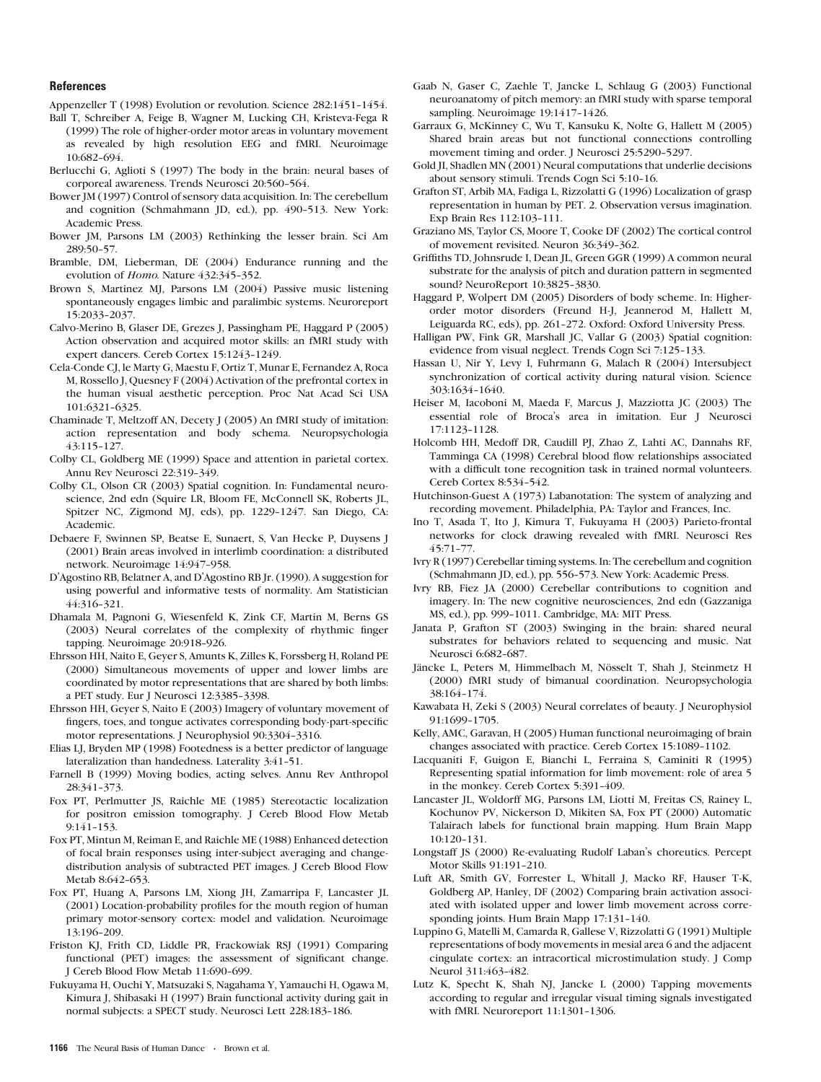## References

Appenzeller T (1998) Evolution or revolution. Science 282:1451--1454.

- Ball T, Schreiber A, Feige B, Wagner M, Lucking CH, Kristeva-Fega R (1999) The role of higher-order motor areas in voluntary movement as revealed by high resolution EEG and fMRI. Neuroimage 10:682-694.
- Berlucchi G, Aglioti S (1997) The body in the brain: neural bases of corporeal awareness. Trends Neurosci 20:560-564.
- Bower JM (1997) Control of sensory data acquisition. In: The cerebellum and cognition (Schmahmann JD, ed.), pp. 490-513. New York: Academic Press.
- Bower JM, Parsons LM (2003) Rethinking the lesser brain. Sci Am 289:50-57.
- Bramble, DM, Lieberman, DE (2004) Endurance running and the evolution of Homo. Nature 432:345-352.
- Brown S, Martinez MJ, Parsons LM (2004) Passive music listening spontaneously engages limbic and paralimbic systems. Neuroreport 15:2033--2037.
- Calvo-Merino B, Glaser DE, Grezes J, Passingham PE, Haggard P (2005) Action observation and acquired motor skills: an fMRI study with expert dancers. Cereb Cortex 15:1243--1249.
- Cela-Conde CJ, le Marty G, Maestu F, Ortiz T, Munar E, Fernandez A, Roca M, Rossello J, Quesney F (2004) Activation of the prefrontal cortex in the human visual aesthetic perception. Proc Nat Acad Sci USA 101:6321-6325.
- Chaminade T, Meltzoff AN, Decety J (2005) An fMRI study of imitation: action representation and body schema. Neuropsychologia 43:115--127.
- Colby CL, Goldberg ME (1999) Space and attention in parietal cortex. Annu Rev Neurosci 22:319-349.
- Colby CL, Olson CR (2003) Spatial cognition. In: Fundamental neuroscience, 2nd edn (Squire LR, Bloom FE, McConnell SK, Roberts JL, Spitzer NC, Zigmond MJ, eds), pp. 1229-1247. San Diego, CA: Academic.
- Debaere F, Swinnen SP, Beatse E, Sunaert, S, Van Hecke P, Duysens J (2001) Brain areas involved in interlimb coordination: a distributed network. Neuroimage 14:947-958.
- D'Agostino RB, Belatner A, and D'Agostino RB Jr. (1990). A suggestion for using powerful and informative tests of normality. Am Statistician 44:316-321.
- Dhamala M, Pagnoni G, Wiesenfeld K, Zink CF, Martin M, Berns GS (2003) Neural correlates of the complexity of rhythmic finger tapping. Neuroimage 20:918-926.
- Ehrsson HH, Naito E, Geyer S, Amunts K, Zilles K, Forssberg H, Roland PE (2000) Simultaneous movements of upper and lower limbs are coordinated by motor representations that are shared by both limbs: a PET study. Eur J Neurosci 12:3385--3398.
- Ehrsson HH, Geyer S, Naito E (2003) Imagery of voluntary movement of fingers, toes, and tongue activates corresponding body-part-specific motor representations. J Neurophysiol 90:3304-3316.
- Elias LJ, Bryden MP (1998) Footedness is a better predictor of language lateralization than handedness. Laterality 3:41-51.
- Farnell B (1999) Moving bodies, acting selves. Annu Rev Anthropol 28:341-373.
- Fox PT, Perlmutter JS, Raichle ME (1985) Stereotactic localization for positron emission tomography. J Cereb Blood Flow Metab 9:141-153.
- Fox PT, Mintun M, Reiman E, and Raichle ME (1988) Enhanced detection of focal brain responses using inter-subject averaging and changedistribution analysis of subtracted PET images. J Cereb Blood Flow Metab 8:642-653.
- Fox PT, Huang A, Parsons LM, Xiong JH, Zamarripa F, Lancaster JL (2001) Location-probability profiles for the mouth region of human primary motor-sensory cortex: model and validation. Neuroimage 13:196-209.
- Friston KJ, Frith CD, Liddle PR, Frackowiak RSJ (1991) Comparing functional (PET) images: the assessment of significant change. J Cereb Blood Flow Metab 11:690-699.
- Fukuyama H, Ouchi Y, Matsuzaki S, Nagahama Y, Yamauchi H, Ogawa M, Kimura J, Shibasaki H (1997) Brain functional activity during gait in normal subjects: a SPECT study. Neurosci Lett 228:183--186.
- Gaab N, Gaser C, Zaehle T, Jancke L, Schlaug G (2003) Functional neuroanatomy of pitch memory: an fMRI study with sparse temporal sampling. Neuroimage 19:1417-1426.
- Garraux G, McKinney C, Wu T, Kansuku K, Nolte G, Hallett M (2005) Shared brain areas but not functional connections controlling movement timing and order. J Neurosci 25:5290-5297.
- Gold JI, Shadlen MN (2001) Neural computations that underlie decisions about sensory stimuli. Trends Cogn Sci 5:10-16.
- Grafton ST, Arbib MA, Fadiga L, Rizzolatti G (1996) Localization of grasp representation in human by PET. 2. Observation versus imagination. Exp Brain Res 112:103-111.
- Graziano MS, Taylor CS, Moore T, Cooke DF (2002) The cortical control of movement revisited. Neuron 36:349-362.
- Griffiths TD, Johnsrude I, Dean JL, Green GGR (1999) A common neural substrate for the analysis of pitch and duration pattern in segmented sound? NeuroReport 10:3825-3830.
- Haggard P, Wolpert DM (2005) Disorders of body scheme. In: Higherorder motor disorders (Freund H-J, Jeannerod M, Hallett M, Leiguarda RC, eds), pp. 261-272. Oxford: Oxford University Press.
- Halligan PW, Fink GR, Marshall JC, Vallar G (2003) Spatial cognition: evidence from visual neglect. Trends Cogn Sci 7:125-133.
- Hassan U, Nir Y, Levy I, Fuhrmann G, Malach R (2004) Intersubject synchronization of cortical activity during natural vision. Science 303:1634--1640.
- Heiser M, Iacoboni M, Maeda F, Marcus J, Mazziotta JC (2003) The essential role of Broca's area in imitation. Eur J Neurosci 17:1123--1128.
- Holcomb HH, Medoff DR, Caudill PJ, Zhao Z, Lahti AC, Dannahs RF, Tamminga CA (1998) Cerebral blood flow relationships associated with a difficult tone recognition task in trained normal volunteers. Cereb Cortex 8:534-542.
- Hutchinson-Guest A (1973) Labanotation: The system of analyzing and recording movement. Philadelphia, PA: Taylor and Frances, Inc.
- Ino T, Asada T, Ito J, Kimura T, Fukuyama H (2003) Parieto-frontal networks for clock drawing revealed with fMRI. Neurosci Res 45:71--77.
- Ivry R (1997) Cerebellar timing systems. In: The cerebellum and cognition (Schmahmann JD, ed.), pp. 556-573. New York: Academic Press.
- Ivry RB, Fiez JA (2000) Cerebellar contributions to cognition and imagery. In: The new cognitive neurosciences, 2nd edn (Gazzaniga MS, ed.), pp. 999--1011. Cambridge, MA: MIT Press.
- Janata P, Grafton ST (2003) Swinging in the brain: shared neural substrates for behaviors related to sequencing and music. Nat Neurosci 6:682-687.
- Jäncke L, Peters M, Himmelbach M, Nösselt T, Shah J, Steinmetz H (2000) fMRI study of bimanual coordination. Neuropsychologia 38:164--174.
- Kawabata H, Zeki S (2003) Neural correlates of beauty. J Neurophysiol 91:1699-1705.
- Kelly, AMC, Garavan, H (2005) Human functional neuroimaging of brain changes associated with practice. Cereb Cortex 15:1089-1102.
- Lacquaniti F, Guigon E, Bianchi L, Ferraina S, Caminiti R (1995) Representing spatial information for limb movement: role of area 5 in the monkey. Cereb Cortex 5:391-409.
- Lancaster JL, Woldorff MG, Parsons LM, Liotti M, Freitas CS, Rainey L, Kochunov PV, Nickerson D, Mikiten SA, Fox PT (2000) Automatic Talairach labels for functional brain mapping. Hum Brain Mapp 10:120-131.
- Longstaff JS (2000) Re-evaluating Rudolf Laban's choreutics. Percept Motor Skills 91:191-210.
- Luft AR, Smith GV, Forrester L, Whitall J, Macko RF, Hauser T-K, Goldberg AP, Hanley, DF (2002) Comparing brain activation associated with isolated upper and lower limb movement across corresponding joints. Hum Brain Mapp 17:131-140.
- Luppino G, Matelli M, Camarda R, Gallese V, Rizzolatti G (1991) Multiple representations of body movements in mesial area 6 and the adjacent cingulate cortex: an intracortical microstimulation study. J Comp Neurol 311:463-482.
- Lutz K, Specht K, Shah NJ, Jancke L (2000) Tapping movements according to regular and irregular visual timing signals investigated with fMRI. Neuroreport 11:1301-1306.